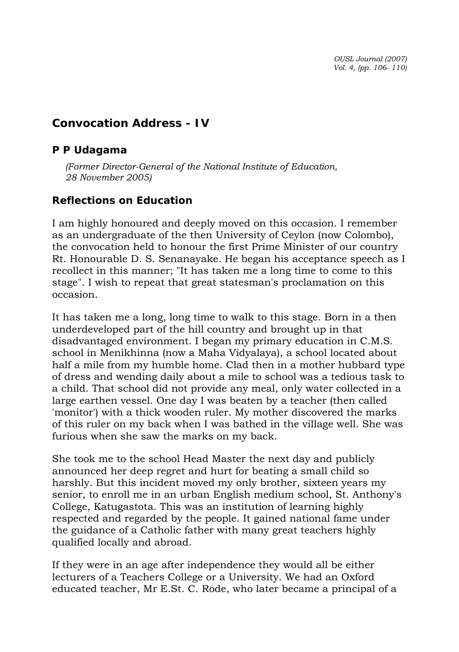*OUSL Journal (2007) Vol. 4, (pp. 106- 110)* 

# **Convocation Address - IV**

### *P P Udagama*

*(Former Director-General of the National Institute of Education, 28 November 2005)* 

## **Reflections on Education**

I am highly honoured and deeply moved on this occasion. I remember as an undergraduate of the then University of Ceylon (now Colombo), the convocation held to honour the first Prime Minister of our country Rt. Honourable D. S. Senanayake. He began his acceptance speech as I recollect in this manner; "It has taken me a long time to come to this stage". I wish to repeat that great statesman's proclamation on this occasion.

It has taken me a long, long time to walk to this stage. Born in a then underdeveloped part of the hill country and brought up in that disadvantaged environment. I began my primary education in C.M.S. school in Menikhinna (now a Maha Vidyalaya), a school located about half a mile from my humble home. Clad then in a mother hubbard type of dress and wending daily about a mile to school was a tedious task to a child. That school did not provide any meal, only water collected in a large earthen vessel. One day I was beaten by a teacher (then called 'monitor') with a thick wooden ruler. My mother discovered the marks of this ruler on my back when I was bathed in the village well. She was furious when she saw the marks on my back.

She took me to the school Head Master the next day and publicly announced her deep regret and hurt for beating a small child so harshly. But this incident moved my only brother, sixteen years my senior, to enroll me in an urban English medium school, St. Anthony's College, Katugastota. This was an institution of learning highly respected and regarded by the people. It gained national fame under the guidance of a Catholic father with many great teachers highly qualified locally and abroad.

If they were in an age after independence they would all be either lecturers of a Teachers College or a University. We had an Oxford educated teacher, Mr E.St. C. Rode, who later became a principal of a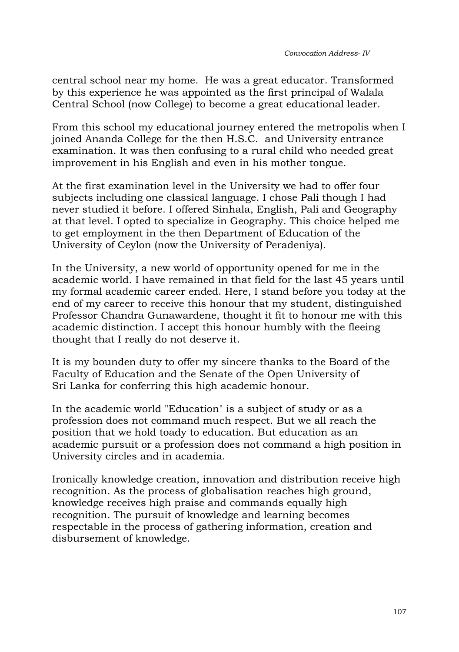central school near my home. He was a great educator. Transformed by this experience he was appointed as the first principal of Walala Central School (now College) to become a great educational leader.

From this school my educational journey entered the metropolis when I joined Ananda College for the then H.S.C. and University entrance examination. It was then confusing to a rural child who needed great improvement in his English and even in his mother tongue.

At the first examination level in the University we had to offer four subjects including one classical language. I chose Pali though I had never studied it before. I offered Sinhala, English, Pali and Geography at that level. I opted to specialize in Geography. This choice helped me to get employment in the then Department of Education of the University of Ceylon (now the University of Peradeniya).

In the University, a new world of opportunity opened for me in the academic world. I have remained in that field for the last 45 years until my formal academic career ended. Here, I stand before you today at the end of my career to receive this honour that my student, distinguished Professor Chandra Gunawardene, thought it fit to honour me with this academic distinction. I accept this honour humbly with the fleeing thought that I really do not deserve it.

It is my bounden duty to offer my sincere thanks to the Board of the Faculty of Education and the Senate of the Open University of Sri Lanka for conferring this high academic honour.

In the academic world "Education" is a subject of study or as a profession does not command much respect. But we all reach the position that we hold toady to education. But education as an academic pursuit or a profession does not command a high position in University circles and in academia.

Ironically knowledge creation, innovation and distribution receive high recognition. As the process of globalisation reaches high ground, knowledge receives high praise and commands equally high recognition. The pursuit of knowledge and learning becomes respectable in the process of gathering information, creation and disbursement of knowledge.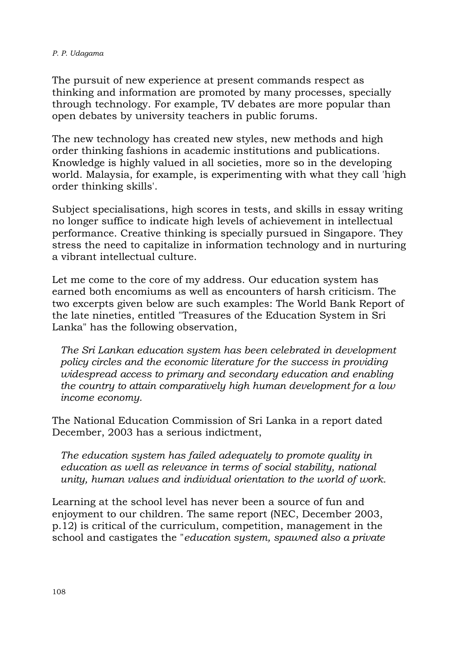#### *P. P. Udagama*

The pursuit of new experience at present commands respect as thinking and information are promoted by many processes, specially through technology. For example, TV debates are more popular than open debates by university teachers in public forums.

The new technology has created new styles, new methods and high order thinking fashions in academic institutions and publications. Knowledge is highly valued in all societies, more so in the developing world. Malaysia, for example, is experimenting with what they call 'high order thinking skills'.

Subject specialisations, high scores in tests, and skills in essay writing no longer suffice to indicate high levels of achievement in intellectual performance. Creative thinking is specially pursued in Singapore. They stress the need to capitalize in information technology and in nurturing a vibrant intellectual culture.

Let me come to the core of my address. Our education system has earned both encomiums as well as encounters of harsh criticism. The two excerpts given below are such examples: The World Bank Report of the late nineties, entitled "Treasures of the Education System in Sri Lanka" has the following observation,

*The Sri Lankan education system has been celebrated in development policy circles and the economic literature for the success in providing widespread access to primary and secondary education and enabling the country to attain comparatively high human development for a low income economy.* 

The National Education Commission of Sri Lanka in a report dated December, 2003 has a serious indictment,

*The education system has failed adequately to promote quality in education as well as relevance in terms of social stability, national unity, human values and individual orientation to the world of work.* 

Learning at the school level has never been a source of fun and enjoyment to our children. The same report (NEC, December 2003, p.12) is critical of the curriculum, competition, management in the school and castigates the "*education system, spawned also a private*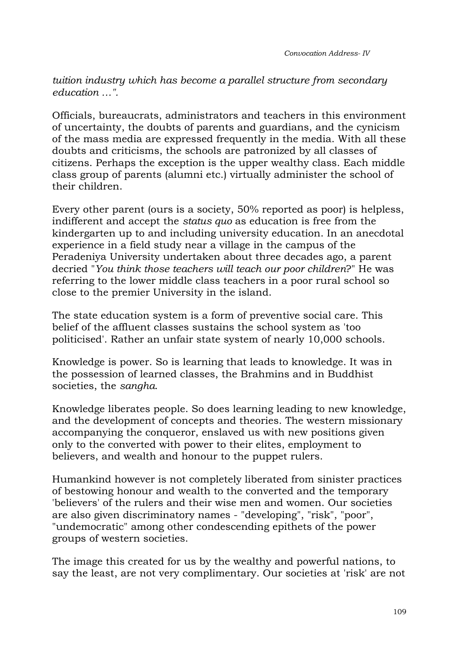*Convocation Address- IV* 

*tuition industry which has become a parallel structure from secondary education …".* 

Officials, bureaucrats, administrators and teachers in this environment of uncertainty, the doubts of parents and guardians, and the cynicism of the mass media are expressed frequently in the media. With all these doubts and criticisms, the schools are patronized by all classes of citizens. Perhaps the exception is the upper wealthy class. Each middle class group of parents (alumni etc.) virtually administer the school of their children.

Every other parent (ours is a society, 50% reported as poor) is helpless, indifferent and accept the *status quo* as education is free from the kindergarten up to and including university education. In an anecdotal experience in a field study near a village in the campus of the Peradeniya University undertaken about three decades ago, a parent decried "*You think those teachers will teach our poor children*?" He was referring to the lower middle class teachers in a poor rural school so close to the premier University in the island.

The state education system is a form of preventive social care. This belief of the affluent classes sustains the school system as 'too politicised'. Rather an unfair state system of nearly 10,000 schools.

Knowledge is power. So is learning that leads to knowledge. It was in the possession of learned classes, the Brahmins and in Buddhist societies, the *sangha*.

Knowledge liberates people. So does learning leading to new knowledge, and the development of concepts and theories. The western missionary accompanying the conqueror, enslaved us with new positions given only to the converted with power to their elites, employment to believers, and wealth and honour to the puppet rulers.

Humankind however is not completely liberated from sinister practices of bestowing honour and wealth to the converted and the temporary 'believers' of the rulers and their wise men and women. Our societies are also given discriminatory names - "developing", "risk", "poor", "undemocratic" among other condescending epithets of the power groups of western societies.

The image this created for us by the wealthy and powerful nations, to say the least, are not very complimentary. Our societies at 'risk' are not